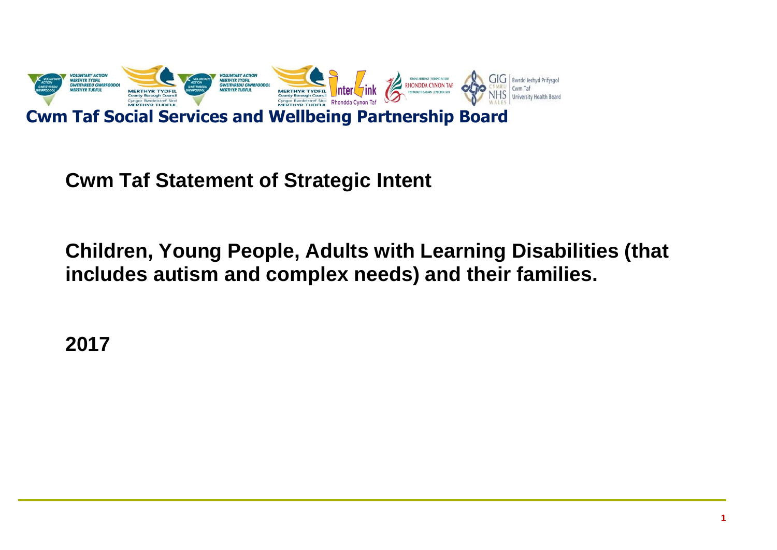

**Cwm Taf Statement of Strategic Intent**

**Children, Young People, Adults with Learning Disabilities (that includes autism and complex needs) and their families.**

**2017**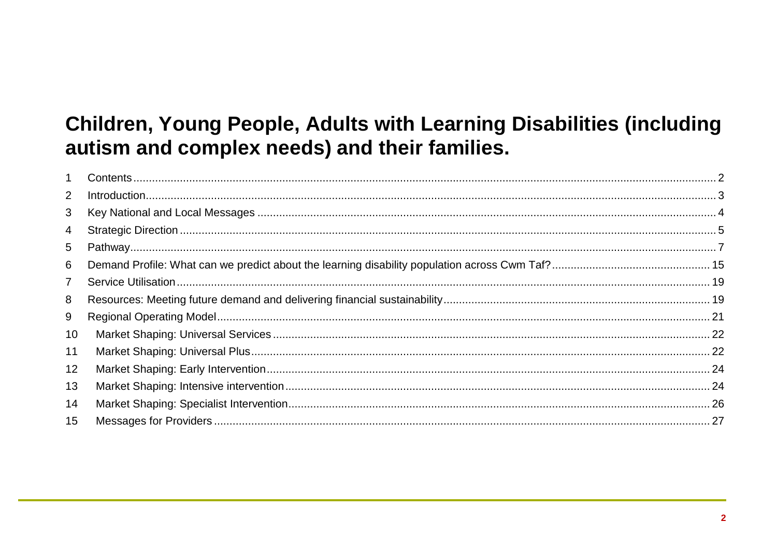# Children, Young People, Adults with Learning Disabilities (including autism and complex needs) and their families.

| $\mathbf{1}$    |  |
|-----------------|--|
| 2               |  |
| 3               |  |
| 4               |  |
| 5               |  |
| 6               |  |
| $\overline{7}$  |  |
| 8               |  |
| 9               |  |
| 10 <sup>°</sup> |  |
| 11              |  |
| 12              |  |
| 13              |  |
| 14              |  |
| 15              |  |
|                 |  |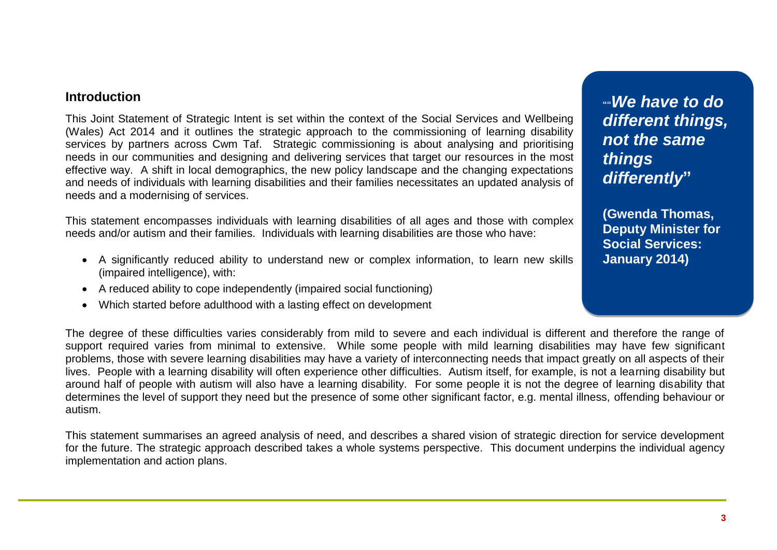# <span id="page-2-0"></span>**Introduction**

This Joint Statement of Strategic Intent is set within the context of the Social Services and Wellbeing (Wales) Act 2014 and it outlines the strategic approach to the commissioning of learning disability services by partners across Cwm Taf. Strategic commissioning is about analysing and prioritising needs in our communities and designing and delivering services that target our resources in the most effective way. A shift in local demographics, the new policy landscape and the changing expectations and needs of individuals with learning disabilities and their families necessitates an updated analysis of needs and a modernising of services.

This statement encompasses individuals with learning disabilities of all ages and those with complex needs and/or autism and their families. Individuals with learning disabilities are those who have:

- A significantly reduced ability to understand new or complex information, to learn new skills (impaired intelligence), with:
- A reduced ability to cope independently (impaired social functioning)
- Which started before adulthood with a lasting effect on development

The degree of these difficulties varies considerably from mild to severe and each individual is different and therefore the range of support required varies from minimal to extensive. While some people with mild learning disabilities may have few significant problems, those with severe learning disabilities may have a variety of interconnecting needs that impact greatly on all aspects of their lives. People with a learning disability will often experience other difficulties. Autism itself, for example, is not a learning disability but around half of people with autism will also have a learning disability. For some people it is not the degree of learning disability that determines the level of support they need but the presence of some other significant factor, e.g. mental illness, offending behaviour or autism.

This statement summarises an agreed analysis of need, and describes a shared vision of strategic direction for service development for the future. The strategic approach described takes a whole systems perspective. This document underpins the individual agency implementation and action plans.

**""***We have to do different things, not the same things differently***"**

**(Gwenda Thomas, Deputy Minister for Social Services: January 2014)**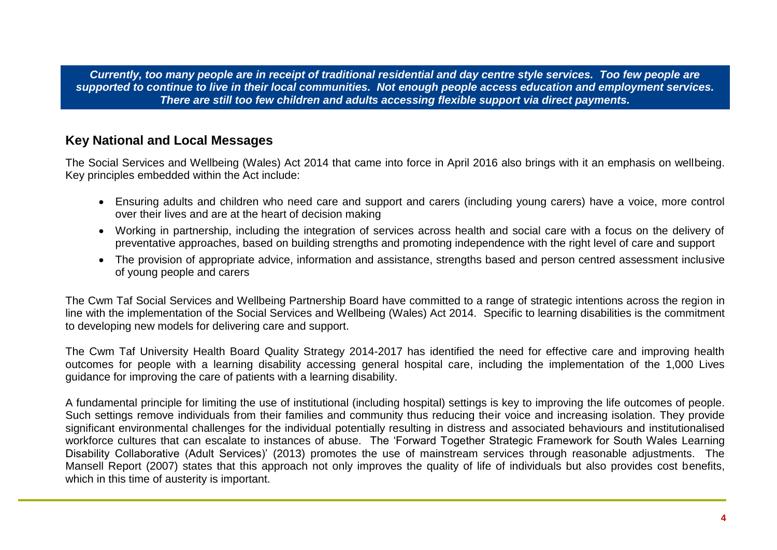*Currently, too many people are in receipt of traditional residential and day centre style services. Too few people are supported to continue to live in their local communities. Not enough people access education and employment services. There are still too few children and adults accessing flexible support via direct payments.*

# <span id="page-3-0"></span>**Key National and Local Messages**

The Social Services and Wellbeing (Wales) Act 2014 that came into force in April 2016 also brings with it an emphasis on wellbeing. Key principles embedded within the Act include:

- Ensuring adults and children who need care and support and carers (including young carers) have a voice, more control over their lives and are at the heart of decision making
- Working in partnership, including the integration of services across health and social care with a focus on the delivery of preventative approaches, based on building strengths and promoting independence with the right level of care and support
- The provision of appropriate advice, information and assistance, strengths based and person centred assessment inclusive of young people and carers

The Cwm Taf Social Services and Wellbeing Partnership Board have committed to a range of strategic intentions across the region in line with the implementation of the Social Services and Wellbeing (Wales) Act 2014. Specific to learning disabilities is the commitment to developing new models for delivering care and support.

The Cwm Taf University Health Board Quality Strategy 2014-2017 has identified the need for effective care and improving health outcomes for people with a learning disability accessing general hospital care, including the implementation of the 1,000 Lives guidance for improving the care of patients with a learning disability.

A fundamental principle for limiting the use of institutional (including hospital) settings is key to improving the life outcomes of people. Such settings remove individuals from their families and community thus reducing their voice and increasing isolation. They provide significant environmental challenges for the individual potentially resulting in distress and associated behaviours and institutionalised workforce cultures that can escalate to instances of abuse. The 'Forward Together Strategic Framework for South Wales Learning Disability Collaborative (Adult Services)' (2013) promotes the use of mainstream services through reasonable adjustments. The Mansell Report (2007) states that this approach not only improves the quality of life of individuals but also provides cost benefits, which in this time of austerity is important.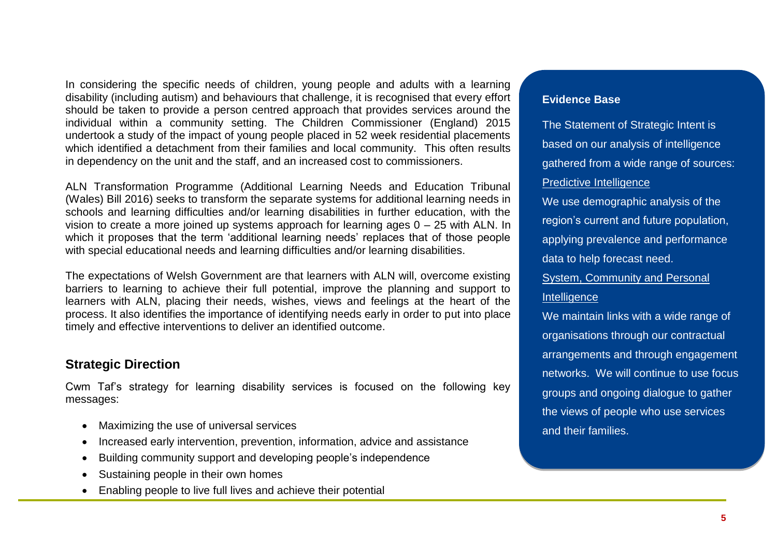In considering the specific needs of children, young people and adults with a learning disability (including autism) and behaviours that challenge, it is recognised that every effort should be taken to provide a person centred approach that provides services around the individual within a community setting. The Children Commissioner (England) 2015 undertook a study of the impact of young people placed in 52 week residential placements which identified a detachment from their families and local community. This often results in dependency on the unit and the staff, and an increased cost to commissioners.

ALN Transformation Programme (Additional Learning Needs and Education Tribunal (Wales) Bill 2016) seeks to transform the separate systems for additional learning needs in schools and learning difficulties and/or learning disabilities in further education, with the vision to create a more joined up systems approach for learning ages  $0 - 25$  with ALN. In which it proposes that the term 'additional learning needs' replaces that of those people with special educational needs and learning difficulties and/or learning disabilities.

The expectations of Welsh Government are that learners with ALN will, overcome existing barriers to learning to achieve their full potential, improve the planning and support to learners with ALN, placing their needs, wishes, views and feelings at the heart of the process. It also identifies the importance of identifying needs early in order to put into place timely and effective interventions to deliver an identified outcome.

# <span id="page-4-0"></span>**Strategic Direction**

Cwm Taf's strategy for learning disability services is focused on the following key messages:

- Maximizing the use of universal services
- Increased early intervention, prevention, information, advice and assistance
- Building community support and developing people's independence
- Sustaining people in their own homes
- Enabling people to live full lives and achieve their potential

# **Evidence Base**

The Statement of Strategic Intent is based on our analysis of intelligence gathered from a wide range of sources: Predictive Intelligence

We use demographic analysis of the region's current and future population, applying prevalence and performance data to help forecast need.

System, Community and Personal

# **Intelligence**

We maintain links with a wide range of organisations through our contractual arrangements and through engagement networks. We will continue to use focus groups and ongoing dialogue to gather the views of people who use services and their families.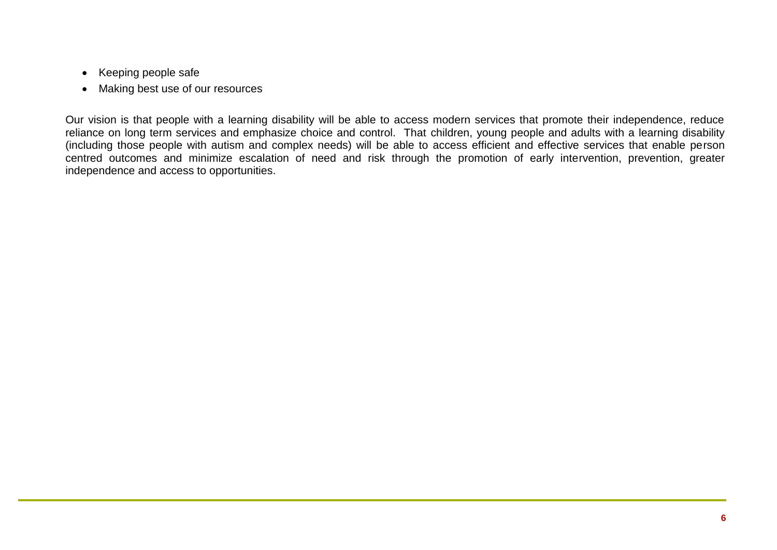- Keeping people safe
- Making best use of our resources

Our vision is that people with a learning disability will be able to access modern services that promote their independence, reduce reliance on long term services and emphasize choice and control. That children, young people and adults with a learning disability (including those people with autism and complex needs) will be able to access efficient and effective services that enable person centred outcomes and minimize escalation of need and risk through the promotion of early intervention, prevention, greater independence and access to opportunities.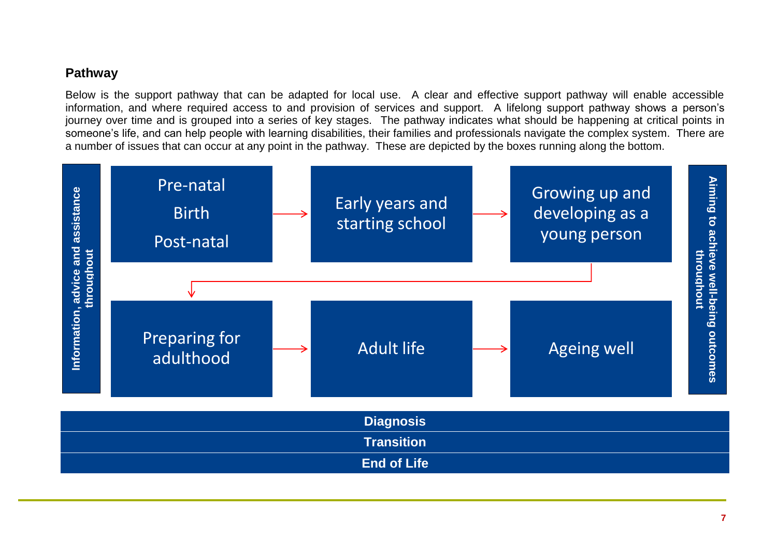# <span id="page-6-0"></span>**Pathway**

Below is the support pathway that can be adapted for local use. A clear and effective support pathway will enable accessible information, and where required access to and provision of services and support. A lifelong support pathway shows a person's journey over time and is grouped into a series of key stages. The pathway indicates what should be happening at critical points in someone's life, and can help people with learning disabilities, their families and professionals navigate the complex system. There are a number of issues that can occur at any point in the pathway. These are depicted by the boxes running along the bottom.

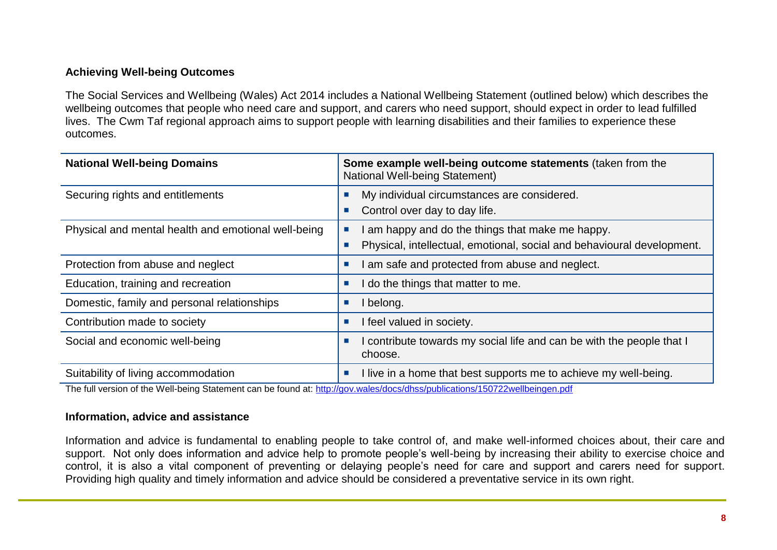## **Achieving Well-being Outcomes**

The Social Services and Wellbeing (Wales) Act 2014 includes a National Wellbeing Statement (outlined below) which describes the wellbeing outcomes that people who need care and support, and carers who need support, should expect in order to lead fulfilled lives. The Cwm Taf regional approach aims to support people with learning disabilities and their families to experience these outcomes.

| <b>National Well-being Domains</b>                  | Some example well-being outcome statements (taken from the<br><b>National Well-being Statement)</b>                        |
|-----------------------------------------------------|----------------------------------------------------------------------------------------------------------------------------|
| Securing rights and entitlements                    | My individual circumstances are considered.<br>Control over day to day life.                                               |
| Physical and mental health and emotional well-being | I am happy and do the things that make me happy.<br>Physical, intellectual, emotional, social and behavioural development. |
| Protection from abuse and neglect                   | I am safe and protected from abuse and neglect.                                                                            |
| Education, training and recreation                  | I do the things that matter to me.                                                                                         |
| Domestic, family and personal relationships         | I belong.                                                                                                                  |
| Contribution made to society                        | I feel valued in society.                                                                                                  |
| Social and economic well-being                      | I contribute towards my social life and can be with the people that I<br>choose.                                           |
| Suitability of living accommodation                 | I live in a home that best supports me to achieve my well-being.<br>I.                                                     |

The full version of the Well-being Statement can be found at:<http://gov.wales/docs/dhss/publications/150722wellbeingen.pdf>

#### **Information, advice and assistance**

Information and advice is fundamental to enabling people to take control of, and make well-informed choices about, their care and support. Not only does information and advice help to promote people's well-being by increasing their ability to exercise choice and control, it is also a vital component of preventing or delaying people's need for care and support and carers need for support. Providing high quality and timely information and advice should be considered a preventative service in its own right.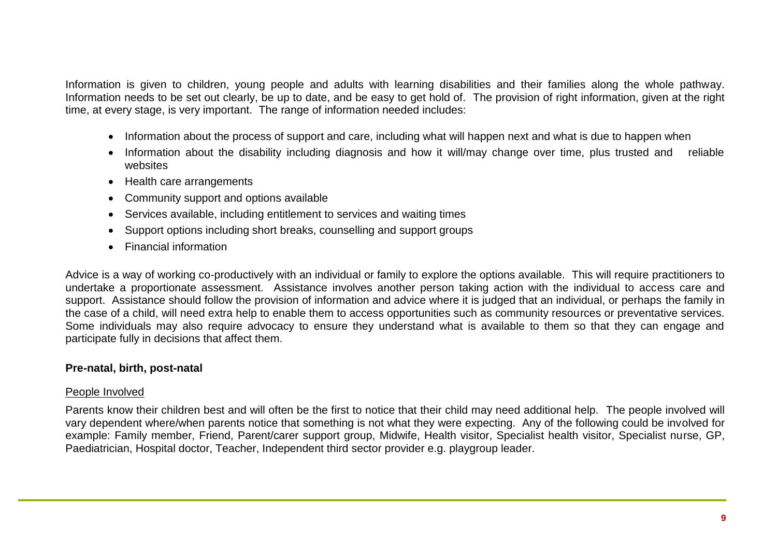Information is given to children, young people and adults with learning disabilities and their families along the whole pathway. Information needs to be set out clearly, be up to date, and be easy to get hold of. The provision of right information, given at the right time, at every stage, is very important. The range of information needed includes:

- Information about the process of support and care, including what will happen next and what is due to happen when
- Information about the disability including diagnosis and how it will/may change over time, plus trusted and reliable websites
- Health care arrangements
- Community support and options available
- Services available, including entitlement to services and waiting times
- Support options including short breaks, counselling and support groups
- Financial information

Advice is a way of working co-productively with an individual or family to explore the options available. This will require practitioners to undertake a proportionate assessment. Assistance involves another person taking action with the individual to access care and support. Assistance should follow the provision of information and advice where it is judged that an individual, or perhaps the family in the case of a child, will need extra help to enable them to access opportunities such as community resources or preventative services. Some individuals may also require advocacy to ensure they understand what is available to them so that they can engage and participate fully in decisions that affect them.

# **Pre-natal, birth, post-natal**

## People Involved

Parents know their children best and will often be the first to notice that their child may need additional help. The people involved will vary dependent where/when parents notice that something is not what they were expecting. Any of the following could be involved for example: Family member, Friend, Parent/carer support group, Midwife, Health visitor, Specialist health visitor, Specialist nurse, GP, Paediatrician, Hospital doctor, Teacher, Independent third sector provider e.g. playgroup leader.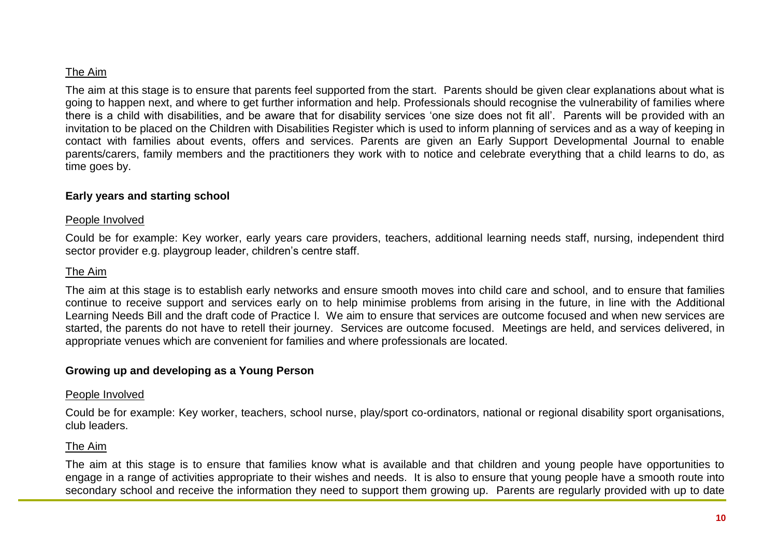# The Aim

The aim at this stage is to ensure that parents feel supported from the start. Parents should be given clear explanations about what is going to happen next, and where to get further information and help. Professionals should recognise the vulnerability of families where there is a child with disabilities, and be aware that for disability services 'one size does not fit all'. Parents will be provided with an invitation to be placed on the Children with Disabilities Register which is used to inform planning of services and as a way of keeping in contact with families about events, offers and services. Parents are given an Early Support Developmental Journal to enable parents/carers, family members and the practitioners they work with to notice and celebrate everything that a child learns to do, as time goes by.

## **Early years and starting school**

#### People Involved

Could be for example: Key worker, early years care providers, teachers, additional learning needs staff, nursing, independent third sector provider e.g. playgroup leader, children's centre staff.

#### The Aim

The aim at this stage is to establish early networks and ensure smooth moves into child care and school, and to ensure that families continue to receive support and services early on to help minimise problems from arising in the future, in line with the Additional Learning Needs Bill and the draft code of Practice l. We aim to ensure that services are outcome focused and when new services are started, the parents do not have to retell their journey. Services are outcome focused. Meetings are held, and services delivered, in appropriate venues which are convenient for families and where professionals are located.

#### **Growing up and developing as a Young Person**

#### People Involved

Could be for example: Key worker, teachers, school nurse, play/sport co-ordinators, national or regional disability sport organisations, club leaders.

## The Aim

The aim at this stage is to ensure that families know what is available and that children and young people have opportunities to engage in a range of activities appropriate to their wishes and needs. It is also to ensure that young people have a smooth route into secondary school and receive the information they need to support them growing up. Parents are regularly provided with up to date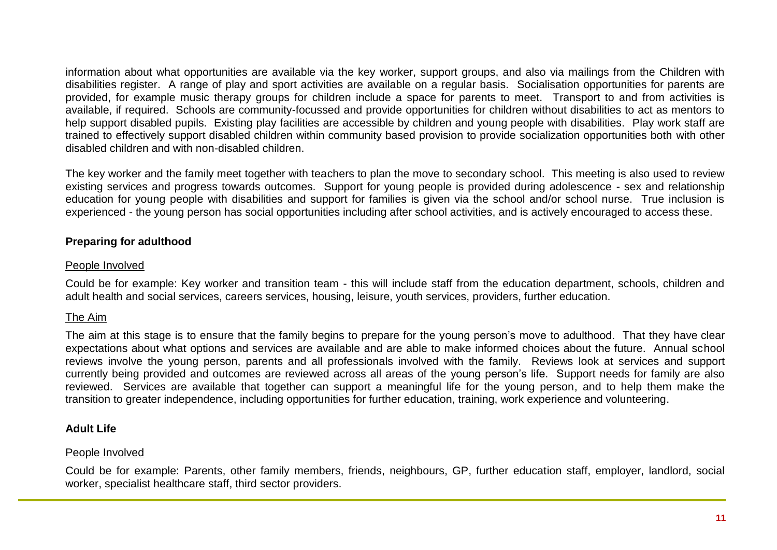information about what opportunities are available via the key worker, support groups, and also via mailings from the Children with disabilities register. A range of play and sport activities are available on a regular basis. Socialisation opportunities for parents are provided, for example music therapy groups for children include a space for parents to meet. Transport to and from activities is available, if required. Schools are community-focussed and provide opportunities for children without disabilities to act as mentors to help support disabled pupils. Existing play facilities are accessible by children and young people with disabilities. Play work staff are trained to effectively support disabled children within community based provision to provide socialization opportunities both with other disabled children and with non-disabled children.

The key worker and the family meet together with teachers to plan the move to secondary school. This meeting is also used to review existing services and progress towards outcomes. Support for young people is provided during adolescence - sex and relationship education for young people with disabilities and support for families is given via the school and/or school nurse. True inclusion is experienced - the young person has social opportunities including after school activities, and is actively encouraged to access these.

# **Preparing for adulthood**

## People Involved

Could be for example: Key worker and transition team - this will include staff from the education department, schools, children and adult health and social services, careers services, housing, leisure, youth services, providers, further education.

# The Aim

The aim at this stage is to ensure that the family begins to prepare for the young person's move to adulthood. That they have clear expectations about what options and services are available and are able to make informed choices about the future. Annual school reviews involve the young person, parents and all professionals involved with the family. Reviews look at services and support currently being provided and outcomes are reviewed across all areas of the young person's life. Support needs for family are also reviewed. Services are available that together can support a meaningful life for the young person, and to help them make the transition to greater independence, including opportunities for further education, training, work experience and volunteering.

# **Adult Life**

# People Involved

Could be for example: Parents, other family members, friends, neighbours, GP, further education staff, employer, landlord, social worker, specialist healthcare staff, third sector providers.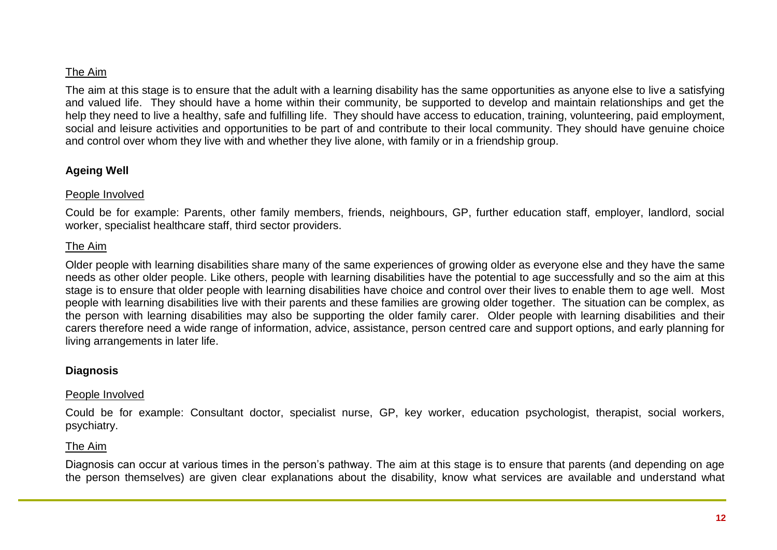## The Aim

The aim at this stage is to ensure that the adult with a learning disability has the same opportunities as anyone else to live a satisfying and valued life. They should have a home within their community, be supported to develop and maintain relationships and get the help they need to live a healthy, safe and fulfilling life. They should have access to education, training, volunteering, paid employment, social and leisure activities and opportunities to be part of and contribute to their local community. They should have genuine choice and control over whom they live with and whether they live alone, with family or in a friendship group.

#### **Ageing Well**

#### People Involved

Could be for example: Parents, other family members, friends, neighbours, GP, further education staff, employer, landlord, social worker, specialist healthcare staff, third sector providers.

## The Aim

Older people with learning disabilities share many of the same experiences of growing older as everyone else and they have the same needs as other older people. Like others, people with learning disabilities have the potential to age successfully and so the aim at this stage is to ensure that older people with learning disabilities have choice and control over their lives to enable them to age well. Most people with learning disabilities live with their parents and these families are growing older together. The situation can be complex, as the person with learning disabilities may also be supporting the older family carer. Older people with learning disabilities and their carers therefore need a wide range of information, advice, assistance, person centred care and support options, and early planning for living arrangements in later life.

## **Diagnosis**

#### People Involved

Could be for example: Consultant doctor, specialist nurse, GP, key worker, education psychologist, therapist, social workers, psychiatry.

## The Aim

Diagnosis can occur at various times in the person's pathway. The aim at this stage is to ensure that parents (and depending on age the person themselves) are given clear explanations about the disability, know what services are available and understand what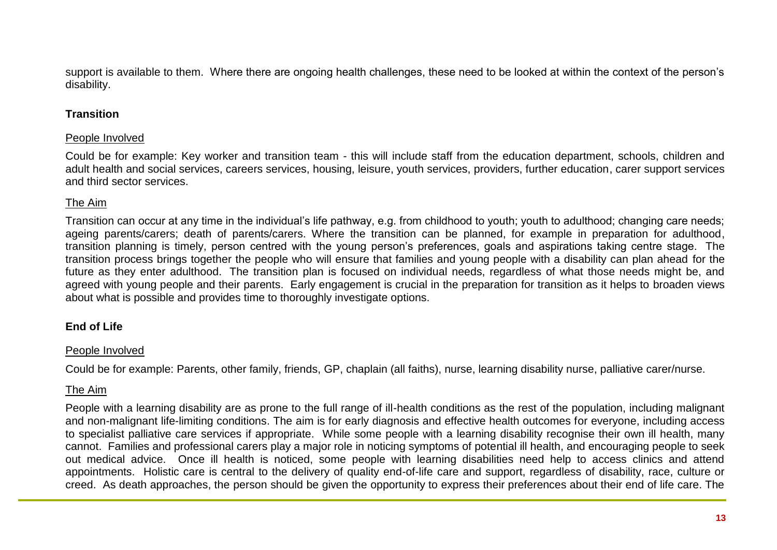support is available to them. Where there are ongoing health challenges, these need to be looked at within the context of the person's disability.

# **Transition**

## People Involved

Could be for example: Key worker and transition team - this will include staff from the education department, schools, children and adult health and social services, careers services, housing, leisure, youth services, providers, further education, carer support services and third sector services.

# The Aim

Transition can occur at any time in the individual's life pathway, e.g. from childhood to youth; youth to adulthood; changing care needs; ageing parents/carers; death of parents/carers. Where the transition can be planned, for example in preparation for adulthood, transition planning is timely, person centred with the young person's preferences, goals and aspirations taking centre stage. The transition process brings together the people who will ensure that families and young people with a disability can plan ahead for the future as they enter adulthood. The transition plan is focused on individual needs, regardless of what those needs might be, and agreed with young people and their parents. Early engagement is crucial in the preparation for transition as it helps to broaden views about what is possible and provides time to thoroughly investigate options.

# **End of Life**

## People Involved

Could be for example: Parents, other family, friends, GP, chaplain (all faiths), nurse, learning disability nurse, palliative carer/nurse.

# The Aim

People with a learning disability are as prone to the full range of ill-health conditions as the rest of the population, including malignant and non-malignant life-limiting conditions. The aim is for early diagnosis and effective health outcomes for everyone, including access to specialist palliative care services if appropriate. While some people with a learning disability recognise their own ill health, many cannot. Families and professional carers play a major role in noticing symptoms of potential ill health, and encouraging people to seek out medical advice. Once ill health is noticed, some people with learning disabilities need help to access clinics and attend appointments. Holistic care is central to the delivery of quality end-of-life care and support, regardless of disability, race, culture or creed. As death approaches, the person should be given the opportunity to express their preferences about their end of life care. The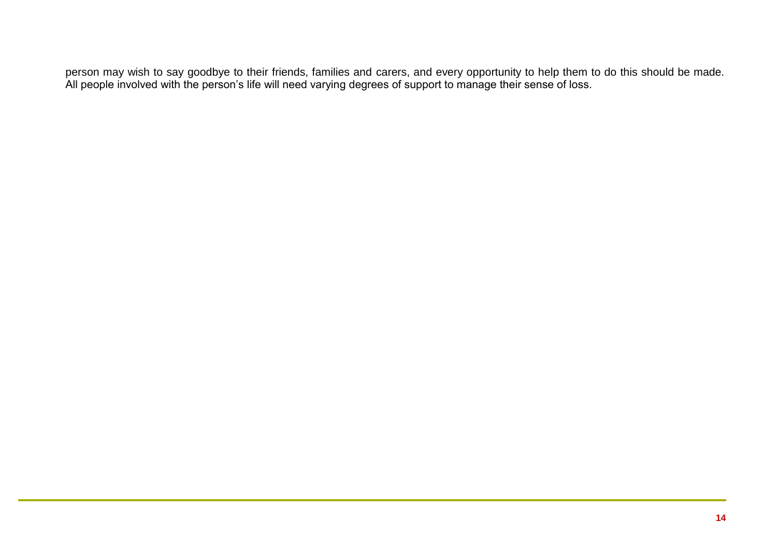person may wish to say goodbye to their friends, families and carers, and every opportunity to help them to do this should be made. All people involved with the person's life will need varying degrees of support to manage their sense of loss.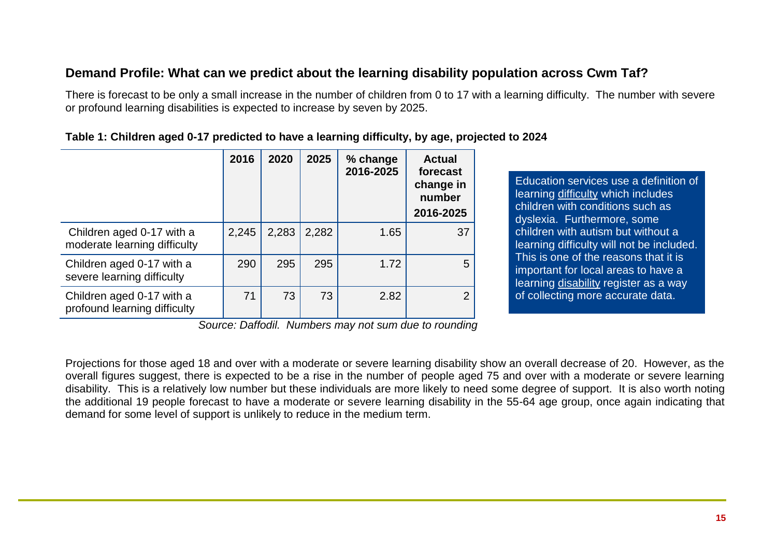# <span id="page-14-0"></span>**Demand Profile: What can we predict about the learning disability population across Cwm Taf?**

There is forecast to be only a small increase in the number of children from 0 to 17 with a learning difficulty. The number with severe or profound learning disabilities is expected to increase by seven by 2025.

|                                                           | 2016  | 2020  | 2025  | % change<br>2016-2025 | Actual<br>forecast<br>change in<br>number<br>2016-2025 |
|-----------------------------------------------------------|-------|-------|-------|-----------------------|--------------------------------------------------------|
| Children aged 0-17 with a<br>moderate learning difficulty | 2,245 | 2,283 | 2,282 | 1.65                  | 37                                                     |
| Children aged 0-17 with a<br>severe learning difficulty   | 290   | 295   | 295   | 1.72                  | 5                                                      |
| Children aged 0-17 with a<br>profound learning difficulty | 71    | 73    | 73    | 2.82                  | 2                                                      |

#### **Table 1: Children aged 0-17 predicted to have a learning difficulty, by age, projected to 2024**

Education services use a definition of learning difficulty which includes children with conditions such as dyslexia. Furthermore, some children with autism but without a learning difficulty will not be included. This is one of the reasons that it is important for local areas to have a learning disability register as a way of collecting more accurate data.

*Source: Daffodil. Numbers may not sum due to rounding*

Projections for those aged 18 and over with a moderate or severe learning disability show an overall decrease of 20. However, as the overall figures suggest, there is expected to be a rise in the number of people aged 75 and over with a moderate or severe learning disability. This is a relatively low number but these individuals are more likely to need some degree of support. It is also worth noting the additional 19 people forecast to have a moderate or severe learning disability in the 55-64 age group, once again indicating that demand for some level of support is unlikely to reduce in the medium term.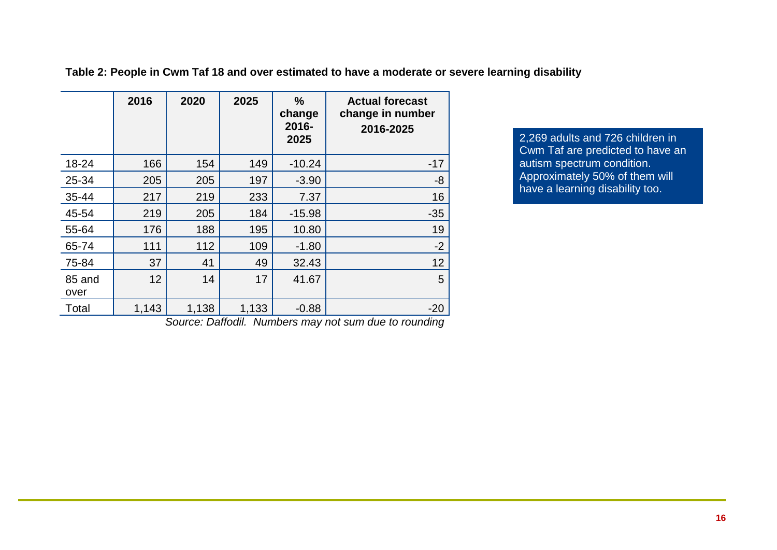|                | 2016  | 2020  | 2025  | $\%$<br>change<br>2016-<br>2025 | <b>Actual forecast</b><br>change in number<br>2016-2025 |
|----------------|-------|-------|-------|---------------------------------|---------------------------------------------------------|
| 18-24          | 166   | 154   | 149   | $-10.24$                        | $-17$                                                   |
| 25-34          | 205   | 205   | 197   | $-3.90$                         | -8                                                      |
| 35-44          | 217   | 219   | 233   | 7.37                            | 16                                                      |
| 45-54          | 219   | 205   | 184   | $-15.98$                        | $-35$                                                   |
| 55-64          | 176   | 188   | 195   | 10.80                           | 19                                                      |
| 65-74          | 111   | 112   | 109   | $-1.80$                         | $-2$                                                    |
| 75-84          | 37    | 41    | 49    | 32.43                           | 12                                                      |
| 85 and<br>over | 12    | 14    | 17    | 41.67                           | 5                                                       |
| Total          | 1,143 | 1,138 | 1,133 | $-0.88$                         | $-20$                                                   |

**Table 2: People in Cwm Taf 18 and over estimated to have a moderate or severe learning disability**

2,269 adults and 726 children in Cwm Taf are predicted to have an autism spectrum condition. Approximately 50% of them will have a learning disability too.

*Source: Daffodil. Numbers may not sum due to rounding*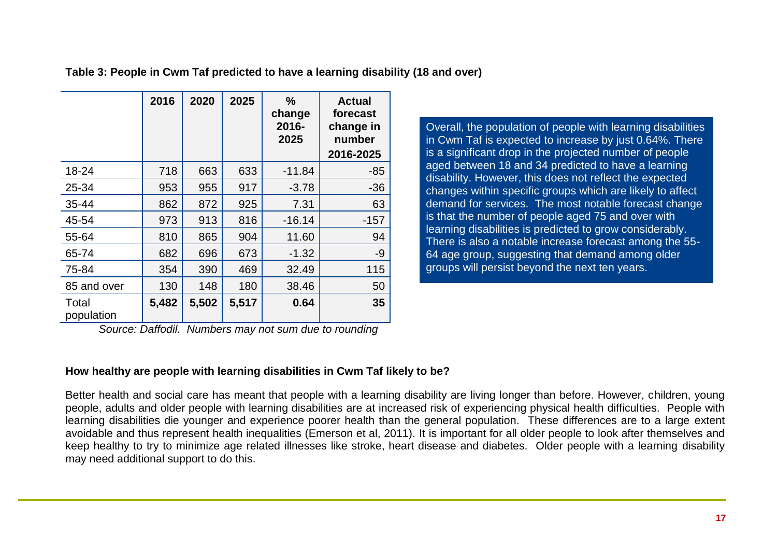**Table 3: People in Cwm Taf predicted to have a learning disability (18 and over)**

|                     | 2016  | 2020  | 2025  | $\frac{0}{0}$<br>change<br>2016-<br>2025 | <b>Actual</b><br>forecast<br>change in<br>number<br>2016-2025 |
|---------------------|-------|-------|-------|------------------------------------------|---------------------------------------------------------------|
| 18-24               | 718   | 663   | 633   | $-11.84$                                 | $-85$                                                         |
| 25-34               | 953   | 955   | 917   | $-3.78$                                  | $-36$                                                         |
| 35-44               | 862   | 872   | 925   | 7.31                                     | 63                                                            |
| 45-54               | 973   | 913   | 816   | $-16.14$                                 | $-157$                                                        |
| 55-64               | 810   | 865   | 904   | 11.60                                    | 94                                                            |
| 65-74               | 682   | 696   | 673   | $-1.32$                                  | $-9$                                                          |
| 75-84               | 354   | 390   | 469   | 32.49                                    | 115                                                           |
| 85 and over         | 130   | 148   | 180   | 38.46                                    | 50                                                            |
| Total<br>population | 5,482 | 5,502 | 5,517 | 0.64                                     | 35                                                            |

*Source: Daffodil. Numbers may not sum due to rounding*

Overall, the population of people with learning disabilities in Cwm Taf is expected to increase by just 0.64%. There is a significant drop in the projected number of people aged between 18 and 34 predicted to have a learning disability. However, this does not reflect the expected changes within specific groups which are likely to affect demand for services. The most notable forecast change is that the number of people aged 75 and over with learning disabilities is predicted to grow considerably. There is also a notable increase forecast among the 55- 64 age group, suggesting that demand among older groups will persist beyond the next ten years.

# **How healthy are people with learning disabilities in Cwm Taf likely to be?**

Better health and social care has meant that people with a learning disability are living longer than before. However, children, young people, adults and older people with learning disabilities are at increased risk of experiencing physical health difficulties. People with learning disabilities die younger and experience poorer health than the general population. These differences are to a large extent avoidable and thus represent health inequalities (Emerson et al, 2011). It is important for all older people to look after themselves and keep healthy to try to minimize age related illnesses like stroke, heart disease and diabetes. Older people with a learning disability may need additional support to do this.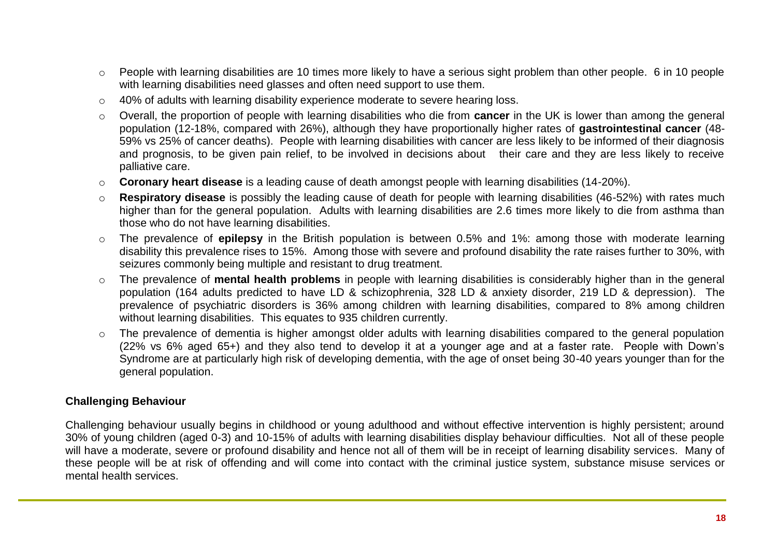- o People with learning disabilities are 10 times more likely to have a serious sight problem than other people. 6 in 10 people with learning disabilities need glasses and often need support to use them.
- o 40% of adults with learning disability experience moderate to severe hearing loss.
- o Overall, the proportion of people with learning disabilities who die from **cancer** in the UK is lower than among the general population (12-18%, compared with 26%), although they have proportionally higher rates of **gastrointestinal cancer** (48- 59% vs 25% of cancer deaths). People with learning disabilities with cancer are less likely to be informed of their diagnosis and prognosis, to be given pain relief, to be involved in decisions about their care and they are less likely to receive palliative care.
- o **Coronary heart disease** is a leading cause of death amongst people with learning disabilities (14-20%).
- o **Respiratory disease** is possibly the leading cause of death for people with learning disabilities (46-52%) with rates much higher than for the general population. Adults with learning disabilities are 2.6 times more likely to die from asthma than those who do not have learning disabilities.
- o The prevalence of **epilepsy** in the British population is between 0.5% and 1%: among those with moderate learning disability this prevalence rises to 15%. Among those with severe and profound disability the rate raises further to 30%, with seizures commonly being multiple and resistant to drug treatment.
- o The prevalence of **mental health problems** in people with learning disabilities is considerably higher than in the general population (164 adults predicted to have LD & schizophrenia, 328 LD & anxiety disorder, 219 LD & depression). The prevalence of psychiatric disorders is 36% among children with learning disabilities, compared to 8% among children without learning disabilities. This equates to 935 children currently.
- o The prevalence of dementia is higher amongst older adults with learning disabilities compared to the general population (22% vs 6% aged 65+) and they also tend to develop it at a younger age and at a faster rate. People with Down's Syndrome are at particularly high risk of developing dementia, with the age of onset being 30-40 years younger than for the general population.

# **Challenging Behaviour**

Challenging behaviour usually begins in childhood or young adulthood and without effective intervention is highly persistent; around 30% of young children (aged 0-3) and 10-15% of adults with learning disabilities display behaviour difficulties. Not all of these people will have a moderate, severe or profound disability and hence not all of them will be in receipt of learning disability services. Many of these people will be at risk of offending and will come into contact with the criminal justice system, substance misuse services or mental health services.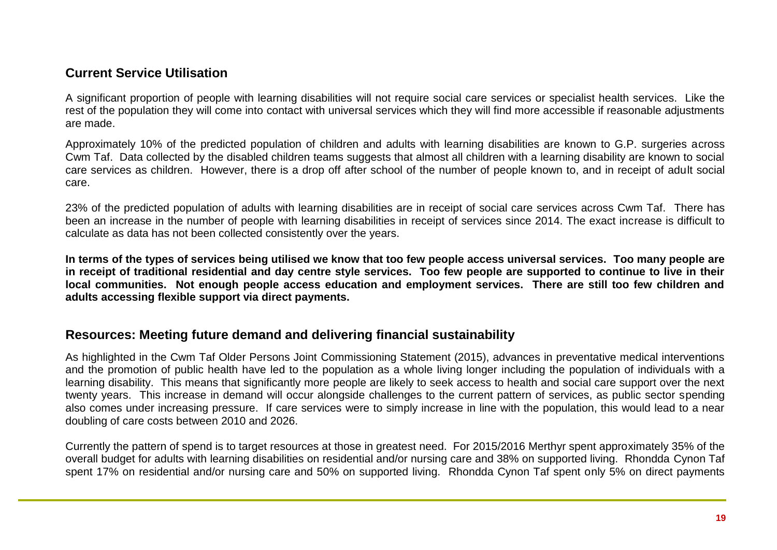# <span id="page-18-0"></span>**Current Service Utilisation**

A significant proportion of people with learning disabilities will not require social care services or specialist health services. Like the rest of the population they will come into contact with universal services which they will find more accessible if reasonable adjustments are made.

Approximately 10% of the predicted population of children and adults with learning disabilities are known to G.P. surgeries across Cwm Taf. Data collected by the disabled children teams suggests that almost all children with a learning disability are known to social care services as children. However, there is a drop off after school of the number of people known to, and in receipt of adult social care.

23% of the predicted population of adults with learning disabilities are in receipt of social care services across Cwm Taf. There has been an increase in the number of people with learning disabilities in receipt of services since 2014. The exact increase is difficult to calculate as data has not been collected consistently over the years.

**In terms of the types of services being utilised we know that too few people access universal services. Too many people are in receipt of traditional residential and day centre style services. Too few people are supported to continue to live in their local communities. Not enough people access education and employment services. There are still too few children and adults accessing flexible support via direct payments.**

# <span id="page-18-1"></span>**Resources: Meeting future demand and delivering financial sustainability**

As highlighted in the Cwm Taf Older Persons Joint Commissioning Statement (2015), advances in preventative medical interventions and the promotion of public health have led to the population as a whole living longer including the population of individuals with a learning disability. This means that significantly more people are likely to seek access to health and social care support over the next twenty years. This increase in demand will occur alongside challenges to the current pattern of services, as public sector spending also comes under increasing pressure. If care services were to simply increase in line with the population, this would lead to a near doubling of care costs between 2010 and 2026.

Currently the pattern of spend is to target resources at those in greatest need. For 2015/2016 Merthyr spent approximately 35% of the overall budget for adults with learning disabilities on residential and/or nursing care and 38% on supported living. Rhondda Cynon Taf spent 17% on residential and/or nursing care and 50% on supported living. Rhondda Cynon Taf spent only 5% on direct payments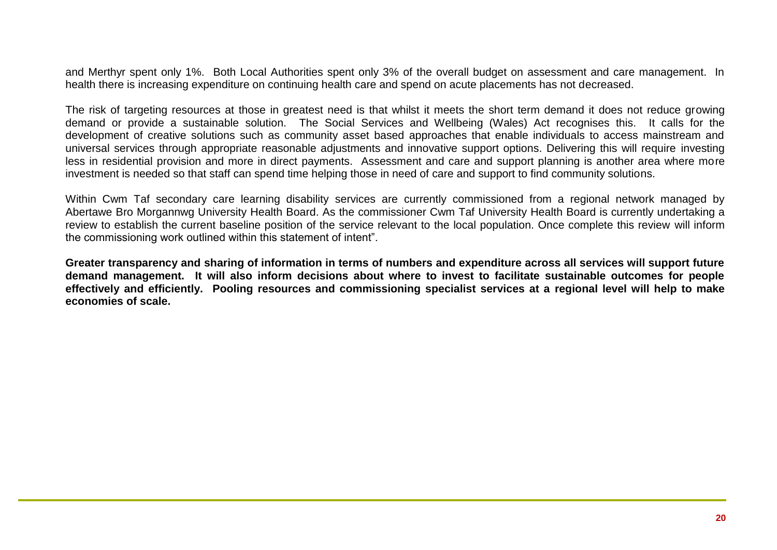and Merthyr spent only 1%. Both Local Authorities spent only 3% of the overall budget on assessment and care management. In health there is increasing expenditure on continuing health care and spend on acute placements has not decreased.

The risk of targeting resources at those in greatest need is that whilst it meets the short term demand it does not reduce growing demand or provide a sustainable solution. The Social Services and Wellbeing (Wales) Act recognises this. It calls for the development of creative solutions such as community asset based approaches that enable individuals to access mainstream and universal services through appropriate reasonable adjustments and innovative support options. Delivering this will require investing less in residential provision and more in direct payments. Assessment and care and support planning is another area where more investment is needed so that staff can spend time helping those in need of care and support to find community solutions.

Within Cwm Taf secondary care learning disability services are currently commissioned from a regional network managed by Abertawe Bro Morgannwg University Health Board. As the commissioner Cwm Taf University Health Board is currently undertaking a review to establish the current baseline position of the service relevant to the local population. Once complete this review will inform the commissioning work outlined within this statement of intent".

**Greater transparency and sharing of information in terms of numbers and expenditure across all services will support future demand management. It will also inform decisions about where to invest to facilitate sustainable outcomes for people effectively and efficiently. Pooling resources and commissioning specialist services at a regional level will help to make economies of scale.**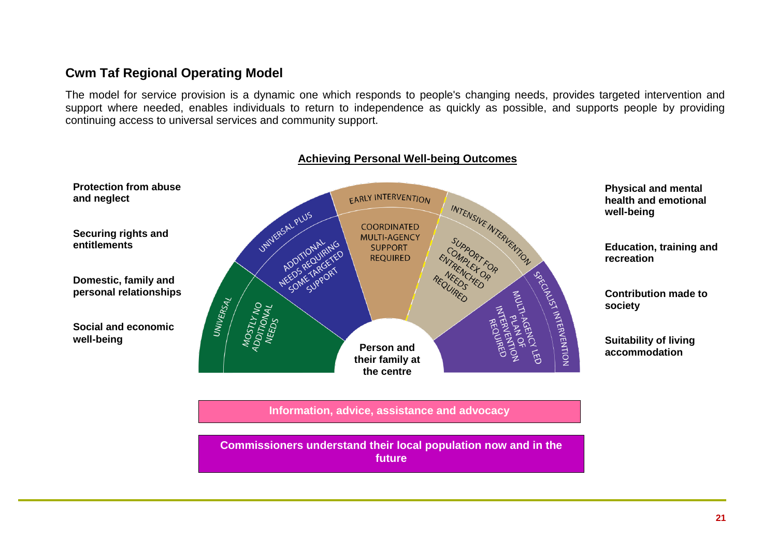# <span id="page-20-0"></span>**Cwm Taf Regional Operating Model**

The model for service provision is a dynamic one which responds to people's changing needs, provides targeted intervention and support where needed, enables individuals to return to independence as quickly as possible, and supports people by providing continuing access to universal services and community support.



**Achieving Personal Well-being Outcomes**

**Information, advice, assistance and advocacy**

**Commissioners understand their local population now and in the future**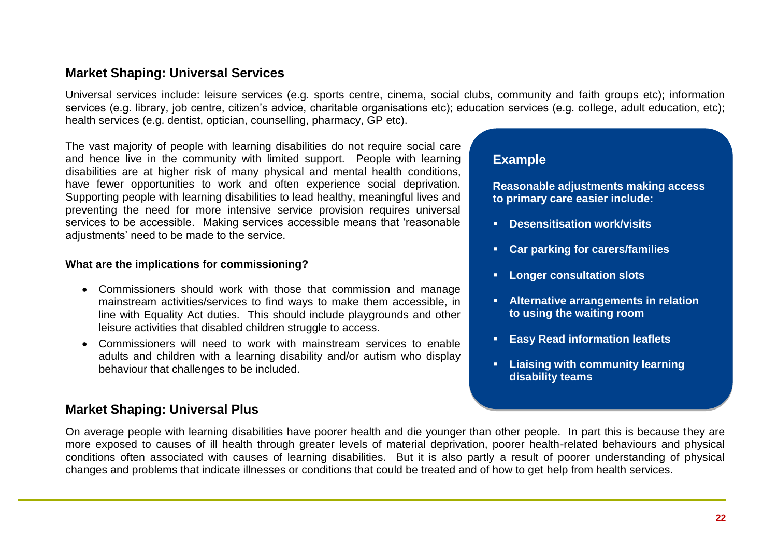# <span id="page-21-0"></span>**Market Shaping: Universal Services**

Universal services include: leisure services (e.g. sports centre, cinema, social clubs, community and faith groups etc); information services (e.g. library, job centre, citizen's advice, charitable organisations etc); education services (e.g. college, adult education, etc); health services (e.g. dentist, optician, counselling, pharmacy, GP etc).

The vast majority of people with learning disabilities do not require social care and hence live in the community with limited support. People with learning disabilities are at higher risk of many physical and mental health conditions, have fewer opportunities to work and often experience social deprivation. Supporting people with learning disabilities to lead healthy, meaningful lives and preventing the need for more intensive service provision requires universal services to be accessible. Making services accessible means that 'reasonable adjustments' need to be made to the service.

#### **What are the implications for commissioning?**

- Commissioners should work with those that commission and manage mainstream activities/services to find ways to make them accessible, in line with Equality Act duties. This should include playgrounds and other leisure activities that disabled children struggle to access.
- Commissioners will need to work with mainstream services to enable adults and children with a learning disability and/or autism who display behaviour that challenges to be included.

# <span id="page-21-1"></span>**Market Shaping: Universal Plus**

# **Example**

**Reasonable adjustments making access to primary care easier include:**

- **Desensitisation work/visits**
- **Car parking for carers/families**
- **Longer consultation slots**
- **Alternative arrangements in relation to using the waiting room**
- **Easy Read information leaflets**
- **Liaising with community learning disability teams**

On average people with learning disabilities have poorer health and die younger than other people. In part this is because they are more exposed to causes of ill health through greater levels of material deprivation, poorer health-related behaviours and physical conditions often associated with causes of learning disabilities. But it is also partly a result of poorer understanding of physical changes and problems that indicate illnesses or conditions that could be treated and of how to get help from health services.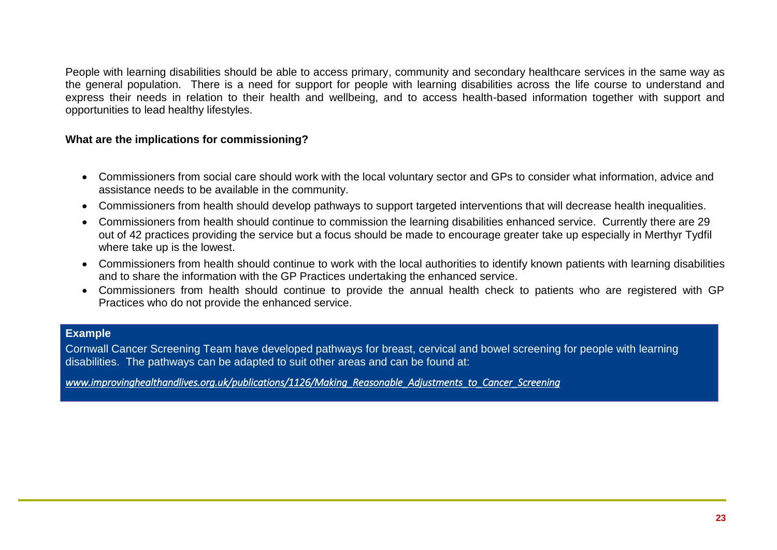People with learning disabilities should be able to access primary, community and secondary healthcare services in the same way as the general population. There is a need for support for people with learning disabilities across the life course to understand and express their needs in relation to their health and wellbeing, and to access health-based information together with support and opportunities to lead healthy lifestyles.

#### **What are the implications for commissioning?**

- Commissioners from social care should work with the local voluntary sector and GPs to consider what information, advice and assistance needs to be available in the community.
- Commissioners from health should develop pathways to support targeted interventions that will decrease health inequalities.
- Commissioners from health should continue to commission the learning disabilities enhanced service. Currently there are 29 out of 42 practices providing the service but a focus should be made to encourage greater take up especially in Merthyr Tydfil where take up is the lowest.
- Commissioners from health should continue to work with the local authorities to identify known patients with learning disabilities and to share the information with the GP Practices undertaking the enhanced service.
- Commissioners from health should continue to provide the annual health check to patients who are registered with GP Practices who do not provide the enhanced service.

#### **Example**

Cornwall Cancer Screening Team have developed pathways for breast, cervical and bowel screening for people with learning disabilities. The pathways can be adapted to suit other areas and can be found at:

*[www.improvinghealthandlives.org.uk/publications/1126/Making\\_Reasonable\\_Adjustments\\_to\\_Cancer\\_Screening](http://www.improvinghealthandlives.org.uk/publications/1126/Making_Reasonable_Adjustments_to_Cancer_Screening)*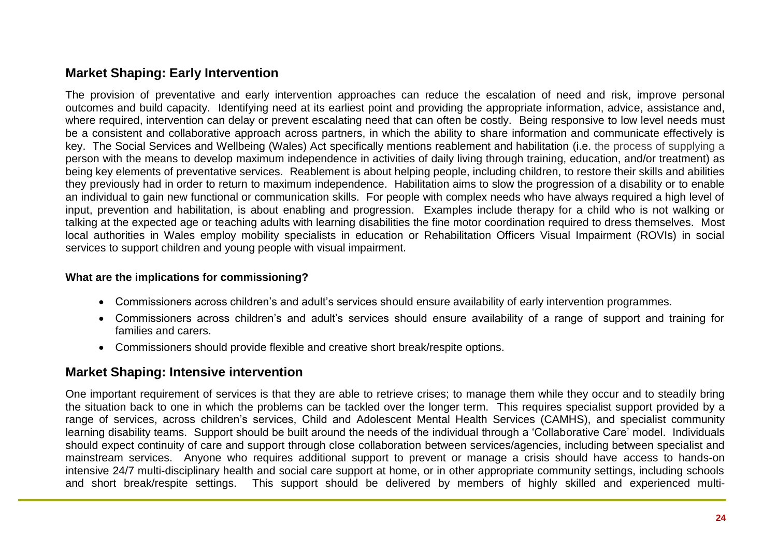# <span id="page-23-0"></span>**Market Shaping: Early Intervention**

The provision of preventative and early intervention approaches can reduce the escalation of need and risk, improve personal outcomes and build capacity. Identifying need at its earliest point and providing the appropriate information, advice, assistance and, where required, intervention can delay or prevent escalating need that can often be costly. Being responsive to low level needs must be a consistent and collaborative approach across partners, in which the ability to share information and communicate effectively is key. The Social Services and Wellbeing (Wales) Act specifically mentions reablement and habilitation (i.e. the process of supplying a person with the means to develop maximum independence in activities of daily living through training, education, and/or treatment) as being key elements of preventative services. Reablement is about helping people, including children, to restore their skills and abilities they previously had in order to return to maximum independence. Habilitation aims to slow the progression of a disability or to enable an individual to gain new functional or communication skills. For people with complex needs who have always required a high level of input, prevention and habilitation, is about enabling and progression. Examples include therapy for a child who is not walking or talking at the expected age or teaching adults with learning disabilities the fine motor coordination required to dress themselves. Most local authorities in Wales employ mobility specialists in education or Rehabilitation Officers Visual Impairment (ROVIs) in social services to support children and young people with visual impairment.

# **What are the implications for commissioning?**

- Commissioners across children's and adult's services should ensure availability of early intervention programmes.
- Commissioners across children's and adult's services should ensure availability of a range of support and training for families and carers.
- Commissioners should provide flexible and creative short break/respite options.

# <span id="page-23-1"></span>**Market Shaping: Intensive intervention**

One important requirement of services is that they are able to retrieve crises; to manage them while they occur and to steadily bring the situation back to one in which the problems can be tackled over the longer term. This requires specialist support provided by a range of services, across children's services, Child and Adolescent Mental Health Services (CAMHS), and specialist community learning disability teams. Support should be built around the needs of the individual through a 'Collaborative Care' model. Individuals should expect continuity of care and support through close collaboration between services/agencies, including between specialist and mainstream services. Anyone who requires additional support to prevent or manage a crisis should have access to hands-on intensive 24/7 multi-disciplinary health and social care support at home, or in other appropriate community settings, including schools and short break/respite settings. This support should be delivered by members of highly skilled and experienced multi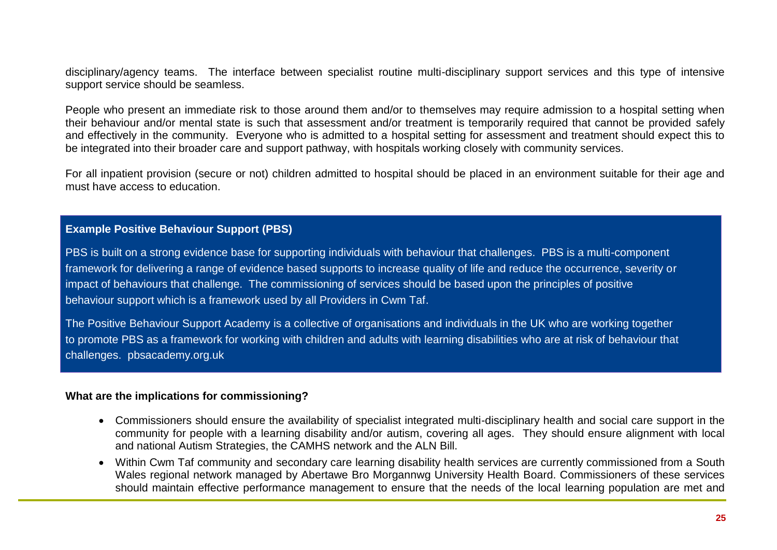disciplinary/agency teams. The interface between specialist routine multi-disciplinary support services and this type of intensive support service should be seamless.

People who present an immediate risk to those around them and/or to themselves may require admission to a hospital setting when their behaviour and/or mental state is such that assessment and/or treatment is temporarily required that cannot be provided safely and effectively in the community. Everyone who is admitted to a hospital setting for assessment and treatment should expect this to be integrated into their broader care and support pathway, with hospitals working closely with community services.

For all inpatient provision (secure or not) children admitted to hospital should be placed in an environment suitable for their age and must have access to education.

# **Example Positive Behaviour Support (PBS)**

PBS is built on a strong evidence base for supporting individuals with behaviour that challenges. PBS is a multi-component framework for delivering a range of evidence based supports to increase quality of life and reduce the occurrence, severity or impact of behaviours that challenge. The commissioning of services should be based upon the principles of positive behaviour support which is a framework used by all Providers in Cwm Taf.

The Positive Behaviour Support Academy is a collective of organisations and individuals in the UK who are working together to promote PBS as a framework for working with children and adults with learning disabilities who are at risk of behaviour that challenges. pbsacademy.org.uk

#### **What are the implications for commissioning?**

- Commissioners should ensure the availability of specialist integrated multi-disciplinary health and social care support in the community for people with a learning disability and/or autism, covering all ages. They should ensure alignment with local and national Autism Strategies, the CAMHS network and the ALN Bill.
- Within Cwm Taf community and secondary care learning disability health services are currently commissioned from a South Wales regional network managed by Abertawe Bro Morgannwg University Health Board. Commissioners of these services should maintain effective performance management to ensure that the needs of the local learning population are met and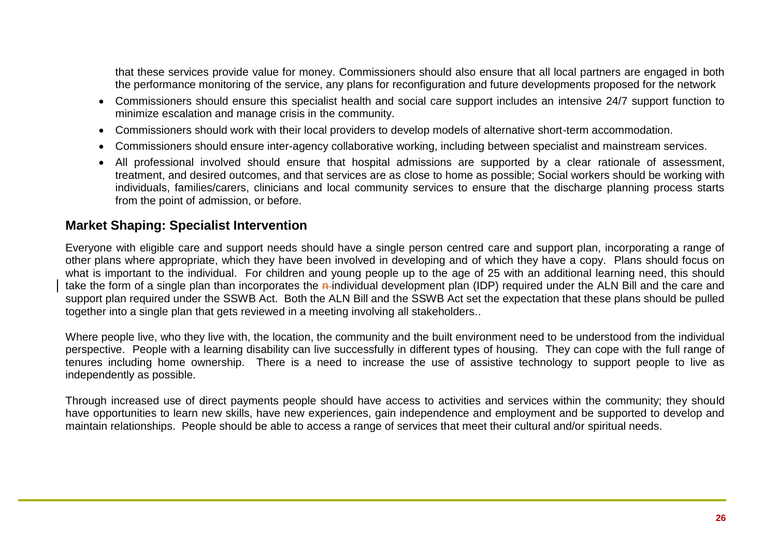that these services provide value for money. Commissioners should also ensure that all local partners are engaged in both the performance monitoring of the service, any plans for reconfiguration and future developments proposed for the network

- Commissioners should ensure this specialist health and social care support includes an intensive 24/7 support function to minimize escalation and manage crisis in the community.
- Commissioners should work with their local providers to develop models of alternative short-term accommodation.
- Commissioners should ensure inter-agency collaborative working, including between specialist and mainstream services.
- All professional involved should ensure that hospital admissions are supported by a clear rationale of assessment, treatment, and desired outcomes, and that services are as close to home as possible; Social workers should be working with individuals, families/carers, clinicians and local community services to ensure that the discharge planning process starts from the point of admission, or before.

# <span id="page-25-0"></span>**Market Shaping: Specialist Intervention**

Everyone with eligible care and support needs should have a single person centred care and support plan, incorporating a range of other plans where appropriate, which they have been involved in developing and of which they have a copy. Plans should focus on what is important to the individual. For children and young people up to the age of 25 with an additional learning need, this should take the form of a single plan than incorporates the n-individual development plan (IDP) required under the ALN Bill and the care and support plan required under the SSWB Act. Both the ALN Bill and the SSWB Act set the expectation that these plans should be pulled together into a single plan that gets reviewed in a meeting involving all stakeholders..

Where people live, who they live with, the location, the community and the built environment need to be understood from the individual perspective. People with a learning disability can live successfully in different types of housing. They can cope with the full range of tenures including home ownership. There is a need to increase the use of assistive technology to support people to live as independently as possible.

Through increased use of direct payments people should have access to activities and services within the community; they should have opportunities to learn new skills, have new experiences, gain independence and employment and be supported to develop and maintain relationships. People should be able to access a range of services that meet their cultural and/or spiritual needs.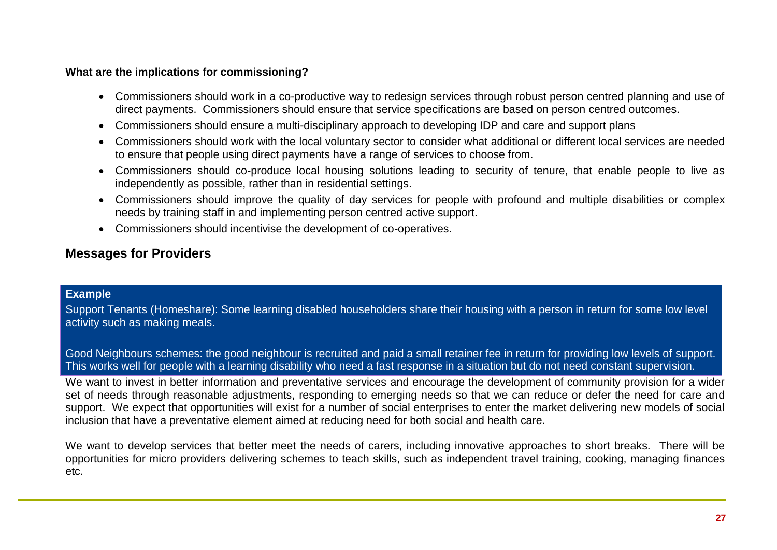#### **What are the implications for commissioning?**

- Commissioners should work in a co-productive way to redesign services through robust person centred planning and use of direct payments. Commissioners should ensure that service specifications are based on person centred outcomes.
- Commissioners should ensure a multi-disciplinary approach to developing IDP and care and support plans
- Commissioners should work with the local voluntary sector to consider what additional or different local services are needed to ensure that people using direct payments have a range of services to choose from.
- Commissioners should co-produce local housing solutions leading to security of tenure, that enable people to live as independently as possible, rather than in residential settings.
- Commissioners should improve the quality of day services for people with profound and multiple disabilities or complex needs by training staff in and implementing person centred active support.
- Commissioners should incentivise the development of co-operatives.

# <span id="page-26-0"></span>**Messages for Providers**

# **Example**

Support Tenants (Homeshare): Some learning disabled householders share their housing with a person in return for some low level activity such as making meals.

Good Neighbours schemes: the good neighbour is recruited and paid a small retainer fee in return for providing low levels of support. This works well for people with a learning disability who need a fast response in a situation but do not need constant supervision.

We want to invest in better information and preventative services and encourage the development of community provision for a wider set of needs through reasonable adjustments, responding to emerging needs so that we can reduce or defer the need for care and support. We expect that opportunities will exist for a number of social enterprises to enter the market delivering new models of social inclusion that have a preventative element aimed at reducing need for both social and health care.

We want to develop services that better meet the needs of carers, including innovative approaches to short breaks. There will be opportunities for micro providers delivering schemes to teach skills, such as independent travel training, cooking, managing finances etc.